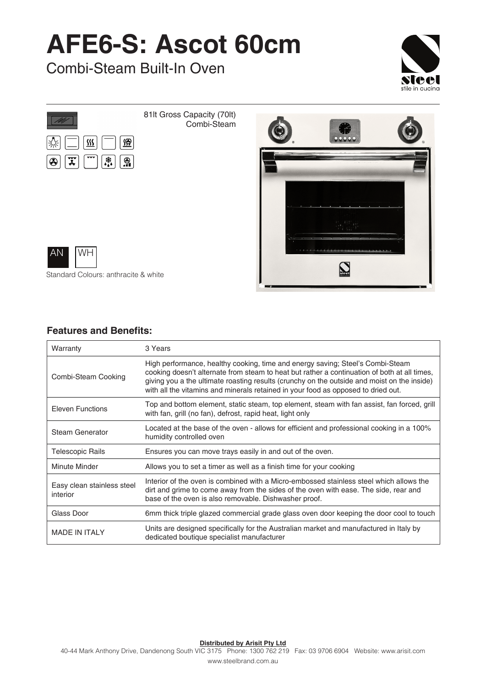## **AFE6-S: Ascot 60cm**

Combi-Steam Built-In Oven





81lt Gross Capacity (70lt) Combi-Steam





Standard Colours: anthracite & white

## **Features and Benefits:**

| Warranty                               | 3 Years                                                                                                                                                                                                                                                                                                                                                            |
|----------------------------------------|--------------------------------------------------------------------------------------------------------------------------------------------------------------------------------------------------------------------------------------------------------------------------------------------------------------------------------------------------------------------|
| Combi-Steam Cooking                    | High performance, healthy cooking, time and energy saving; Steel's Combi-Steam<br>cooking doesn't alternate from steam to heat but rather a continuation of both at all times,<br>giving you a the ultimate roasting results (crunchy on the outside and moist on the inside)<br>with all the vitamins and minerals retained in your food as opposed to dried out. |
| <b>Eleven Functions</b>                | Top and bottom element, static steam, top element, steam with fan assist, fan forced, grill<br>with fan, grill (no fan), defrost, rapid heat, light only                                                                                                                                                                                                           |
| <b>Steam Generator</b>                 | Located at the base of the oven - allows for efficient and professional cooking in a 100%<br>humidity controlled oven                                                                                                                                                                                                                                              |
| <b>Telescopic Rails</b>                | Ensures you can move trays easily in and out of the oven.                                                                                                                                                                                                                                                                                                          |
| <b>Minute Minder</b>                   | Allows you to set a timer as well as a finish time for your cooking                                                                                                                                                                                                                                                                                                |
| Easy clean stainless steel<br>interior | Interior of the oven is combined with a Micro-embossed stainless steel which allows the<br>dirt and grime to come away from the sides of the oven with ease. The side, rear and<br>base of the oven is also removable. Dishwasher proof.                                                                                                                           |
| Glass Door                             | 6mm thick triple glazed commercial grade glass oven door keeping the door cool to touch                                                                                                                                                                                                                                                                            |
| <b>MADE IN ITALY</b>                   | Units are designed specifically for the Australian market and manufactured in Italy by<br>dedicated boutique specialist manufacturer                                                                                                                                                                                                                               |

**Distributed by Arisit Pty Ltd**

40-44 Mark Anthony Drive, Dandenong South VIC 3175 Phone: 1300 762 219 Fax: 03 9706 6904 Website: www.arisit.com